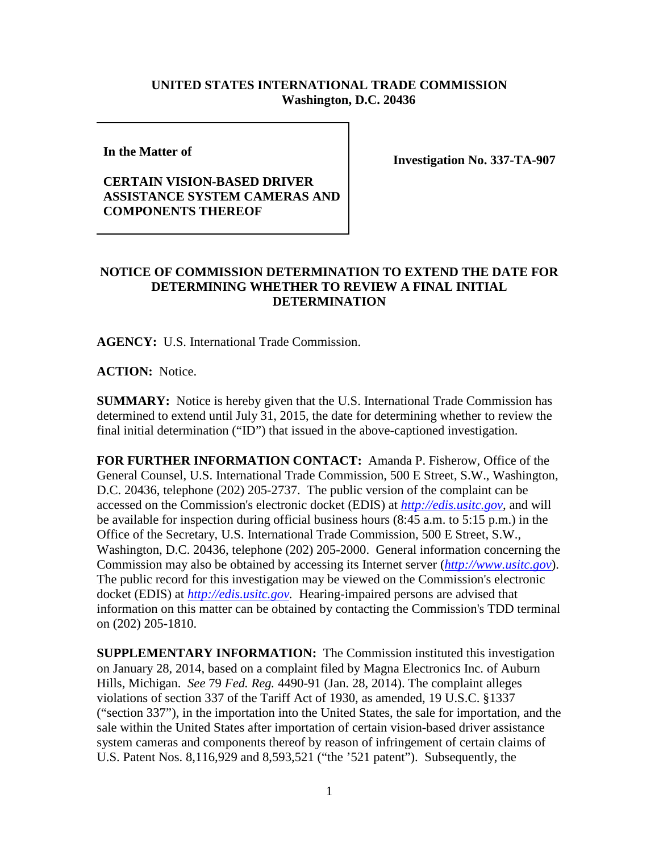## **UNITED STATES INTERNATIONAL TRADE COMMISSION Washington, D.C. 20436**

**In the Matter of** 

## **CERTAIN VISION-BASED DRIVER ASSISTANCE SYSTEM CAMERAS AND COMPONENTS THEREOF**

**Investigation No. 337-TA-907**

## **NOTICE OF COMMISSION DETERMINATION TO EXTEND THE DATE FOR DETERMINING WHETHER TO REVIEW A FINAL INITIAL DETERMINATION**

**AGENCY:** U.S. International Trade Commission.

**ACTION:** Notice.

**SUMMARY:** Notice is hereby given that the U.S. International Trade Commission has determined to extend until July 31, 2015, the date for determining whether to review the final initial determination ("ID") that issued in the above-captioned investigation.

**FOR FURTHER INFORMATION CONTACT:** Amanda P. Fisherow, Office of the General Counsel, U.S. International Trade Commission, 500 E Street, S.W., Washington, D.C. 20436, telephone (202) 205-2737. The public version of the complaint can be accessed on the Commission's electronic docket (EDIS) at *[http://edis.usitc.gov](http://edis.usitc.gov/)*, and will be available for inspection during official business hours (8:45 a.m. to 5:15 p.m.) in the Office of the Secretary, U.S. International Trade Commission, 500 E Street, S.W., Washington, D.C. 20436, telephone (202) 205-2000. General information concerning the Commission may also be obtained by accessing its Internet server (*[http://www.usitc.gov](http://www.usitc.gov/)*). The public record for this investigation may be viewed on the Commission's electronic docket (EDIS) at *[http://edis.usitc.gov.](http://edis.usitc.gov/)* Hearing-impaired persons are advised that information on this matter can be obtained by contacting the Commission's TDD terminal on (202) 205-1810.

**SUPPLEMENTARY INFORMATION:** The Commission instituted this investigation on January 28, 2014, based on a complaint filed by Magna Electronics Inc. of Auburn Hills, Michigan. *See* 79 *Fed. Reg.* 4490-91 (Jan. 28, 2014). The complaint alleges violations of section 337 of the Tariff Act of 1930, as amended, 19 U.S.C. §1337 ("section 337"), in the importation into the United States, the sale for importation, and the sale within the United States after importation of certain vision-based driver assistance system cameras and components thereof by reason of infringement of certain claims of U.S. Patent Nos. 8,116,929 and 8,593,521 ("the '521 patent"). Subsequently, the